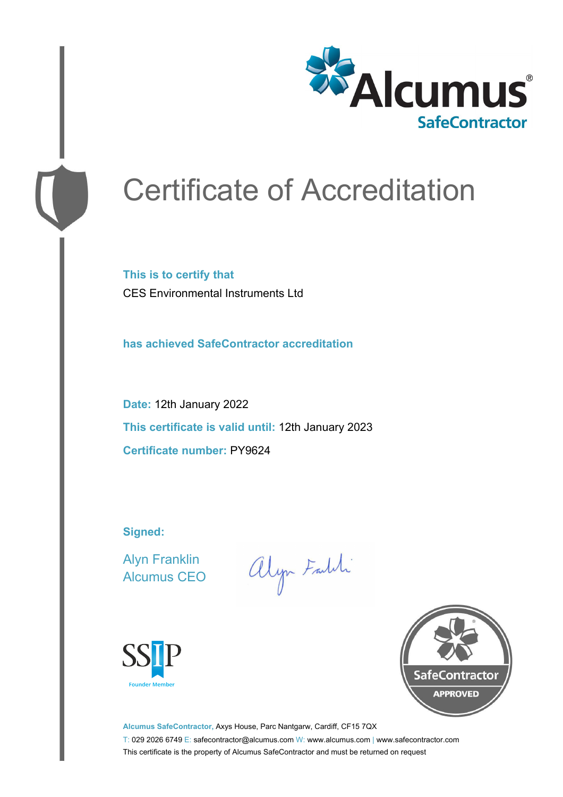

# Certificate of Accreditation

**This is to certify that** CES Environmental Instruments Ltd

**has achieved SafeContractor accreditation**

**Date:** 12th January 2022 **This certificate is valid until:** 12th January 2023 **Certificate number:** PY9624

**Signed:**

Alyn Franklin Alcumus CEO

alyn Faith





**Alcumus SafeContractor,** Axys House, Parc Nantgarw, Cardiff, CF15 7QX T: 029 2026 6749 E: safecontractor@alcumus.com W: www.alcumus.com | www.safecontractor.com This certificate is the property of Alcumus SafeContractor and must be returned on request